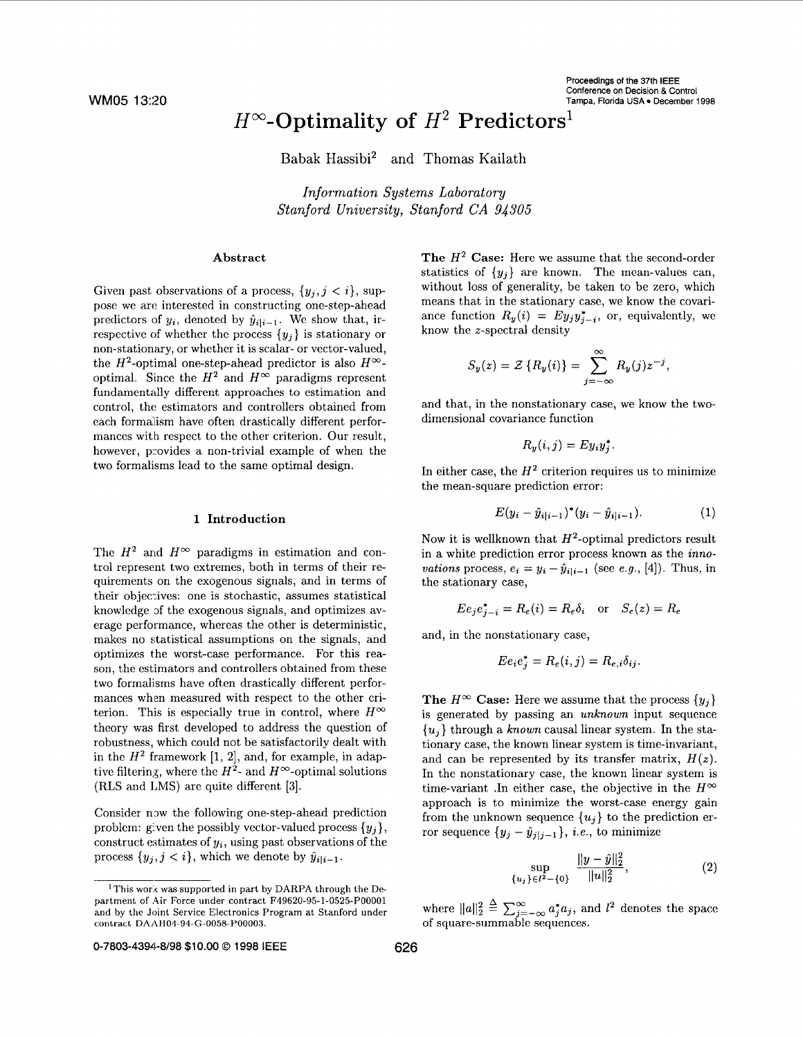#### Proceedings **of** the 37th IEEE Conference on Decision & Control Tampa, Florida USA · December 1998

# $H^{\infty}$ -Optimality of  $H^2$  Predictors<sup>1</sup>

Babak Hassibi2 and Thomas Kailath

*Information Systems Laboratory Stanford University, Stanford CA 94305* 

# Abstract

Given past observations of a process,  $\{y_i, j \leq i\}$ , suppose we arc interested in constructing one-step-ahead predictors of  $y_i$ , denoted by  $\hat{y}_{i|i-1}$ . We show that, irrespective of whether the process  $\{y_j\}$  is stationary or non-stationary, or whether it is scalar- or vector-valued, the  $H^2$ -optimal one-step-ahead predictor is also  $H^{\infty}$ optimal. Since the  $H^2$  and  $H^{\infty}$  paradigms represent fundamentally different approaches to estimation and control, the estimators and controllers obtained from each formalism have often drastically different performances with respect to the other criterion. Our result, however, provides a non-trivial example of when the two formalisms lead to the same optimal design.

#### 1 Introduction

The  $H^2$  and  $H^{\infty}$  paradigms in estimation and control represent two extremes, both in terms of their requirements on the exogenous signals, and in terms of their objecives: one is stochastic, assumes statistical knowledge of the exogenous signals, and optimizes average performance, whereas the other is deterministic, makes no statistical assumptions on the signals, and optimizes the worst-case performance. For this reason, the estimators and controllers obtained from these two formalisms have often drastically different performances when measured with respect to the other criterion. This is especially true in control, where  $H^{\infty}$ theory was first developed to address the question of robustness, which could not, be satisfactorily dealt with in the  $H^2$  framework [1, 2], and, for example, in adaptive filtering, where the  $H^2$ - and  $H^{\infty}$ -optimal solutions (RLS and LMS) are quite different **[3].** 

Consider now the following one-step-ahead prediction problem: given the possibly vector-valued process  $\{y_i\},\$ construct estimates of *yi,* using past observations of the process  $\{y_j, j < i\}$ , which we denote by  $\hat{y}_{i|i-1}$ .

The *H2* Case: Here we assume that the second-order statistics of  $\{y_j\}$  are known. The mean-values can, without loss of generality, be taken to be zero, which means that in the stationary case, we know the covariance function  $R_y(i) = Ey_jy_{j-i}^*$ , or, equivalently, we know the z-spectral density

$$
S_y(z) = \mathcal{Z} \{ R_y(i) \} = \sum_{j=-\infty}^{\infty} R_y(j) z^{-j},
$$

and that, in the nonstationary case, we know the twodimensional covariance function

$$
R_y(i,j) = Ey_iy_j^*.
$$

In either case, the  $H^2$  criterion requires us to minimize the mean-square prediction error:

$$
E(y_i - \hat{y}_{i|i-1})^*(y_i - \hat{y}_{i|i-1}).
$$
\n(1)

Now it is wellknown that  $H^2$ -optimal predictors result in a white prediction error process known as the *innovations* process,  $e_i = y_i - \hat{y}_{i|i-1}$  (see *e.g.*, [4]). Thus, in the stationary case,

$$
E e_j e_{j-i}^* = R_e(i) = R_e \delta_i \quad \text{or} \quad S_e(z) = R_e
$$

and, in the nonstationary case,

$$
E e_i e_j^* = R_e(i, j) = R_{e,i} \delta_{ij}.
$$

The  $H^\infty$  Case: Here we assume that the process  $\{y_i\}$ is generated by passing an *unknown* input sequence *{uj}* through a *known* causal linear system. In the stationary case, the known linear system is time-invariant, and can be represented by its transfer matrix,  $H(z)$ . In the nonstationary case, the known linear system is time-variant .In either case, the objective in the  $H^{\infty}$ approach is to minimize the worst-case energy gain from the unknown sequence  $\{u_j\}$  to the prediction error sequence  $\{y_j - \hat{y}_{j|j-1}\}, i.e.,$  to minimize

$$
\sup_{\{u_j\} \in l^2 - \{0\}} \frac{\|y - \hat{y}\|_2^2}{\|u\|_2^2},\tag{2}
$$

where  $||a||_2^2 \triangleq \sum_{i=-\infty}^{\infty} a_i^* a_j$ , and  $l^2$  denotes the space of square-summable sequences.

<sup>&</sup>lt;sup>1</sup>This work was supported in part by DARPA through the Department of Air Force under contract F49620-95-1-0525-P00001 and by the Joint Service Electronics Program at Stanford under **contract DAA~IO4-94-G-0058-POOOO3.**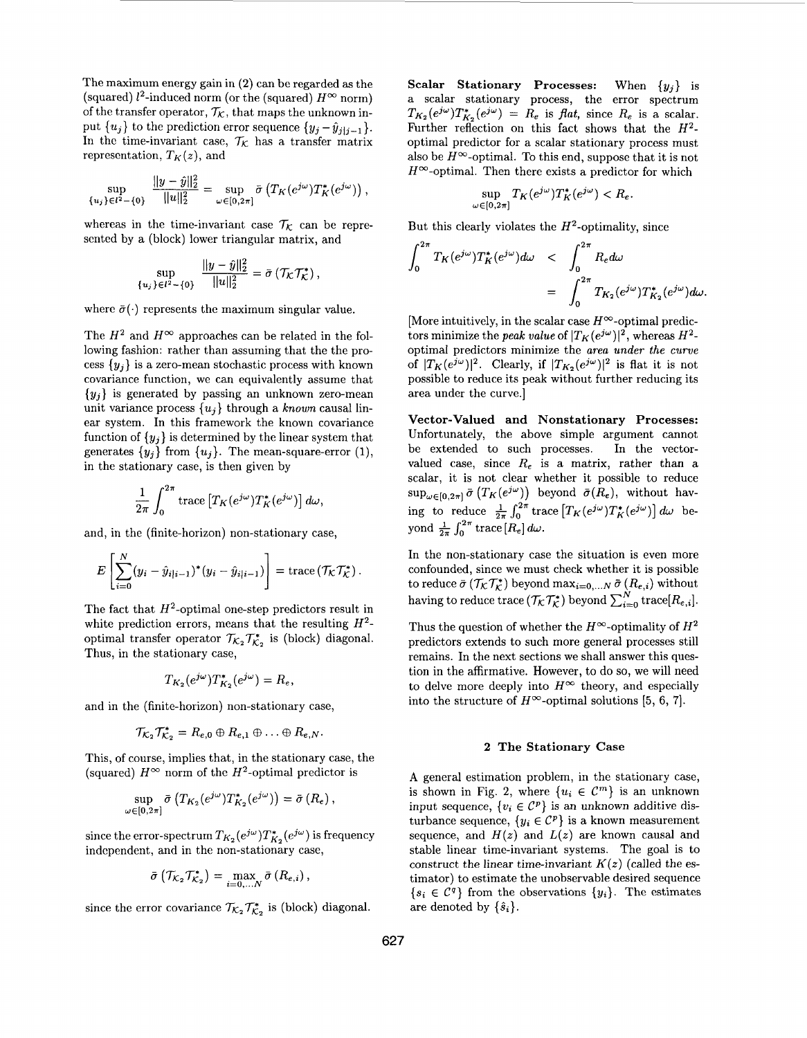The maximum energy gain in **(2)** can be regarded as the (squared)  $l^2$ -induced norm (or the (squared)  $H^{\infty}$  norm) of the transfer operator,  $\mathcal{T}_{\mathcal{K}}$ , that maps the unknown input  $\{u_j\}$  to the prediction error sequence  $\{y_j - \hat{y}_{j|j-1}\}.$ In the time-invariant case,  $\mathcal{T}_K$  has a transfer matrix representation,  $T_K(z)$ , and

$$
\sup_{\{u_j\}\in l^2-\{0\}}\frac{\|y-\hat{y}\|_2^2}{\|u\|_2^2}=\sup_{\omega\in[0,2\pi]}\bar{\sigma}\left(T_K(e^{j\omega})T_K^*(e^{j\omega})\right),\,
$$

whereas in the time-invariant case  $\mathcal{T}_k$  can be represented by a (block) lower triangular matrix, and

$$
\sup_{\{u_j\}\in l^2-\{0\}}\frac{\|y-\hat{y}\|_2^2}{\|u\|_2^2}=\bar{\sigma}\left(\mathcal{T}_{\mathcal{K}}\mathcal{T}_{\mathcal{K}}^*\right),\,
$$

where  $\bar{\sigma}(\cdot)$  represents the maximum singular value.

The  $H^2$  and  $H^{\infty}$  approaches can be related in the following fashion: rather than assuming that the the process  $\{y_i\}$  is a zero-mean stochastic process with known covariance function, we can equivalently assume that  ${y_i}$  is generated by passing an unknown zero-mean unit, variance process  $\{u_i\}$  through a known causal linear system. In this framework the known covariance function of  $\{y_j\}$  is determined by the linear system that generates  $\{y_j\}$  from  $\{u_j\}$ . The mean-square-error (1), in the stationary case, is then given by

$$
\frac{1}{2\pi} \int_0^{2\pi} \operatorname{trace} \left[ T_K(e^{j\omega}) T_K^*(e^{j\omega}) \right] d\omega,
$$

and, in the (finite-horizon) non-stationary case,

$$
E\left[\sum_{i=0}^N (y_i - \hat{y}_{i|i-1})^*(y_i - \hat{y}_{i|i-1})\right] = \text{trace}(\mathcal{T}_{\mathcal{K}}\mathcal{T}_{\mathcal{K}}^*)\,.
$$

The fact that  $H^2$ -optimal one-step predictors result in white prediction errors, means that the resulting  $H^2$ optimal transfer operator  $\mathcal{T}_{K_2} \mathcal{T}_{K_2}^*$  is (block) diagonal. Thus, in the stationary case,

$$
T_{K_2}(e^{j\omega})T^*_{K_2}(e^{j\omega})=R_e,
$$

and in the (finite-horizon) non-stationary case,

$$
\mathcal{T}_{\mathcal{K}_2}\mathcal{T}_{\mathcal{K}_2}^* = R_{e,0} \oplus R_{e,1} \oplus \ldots \oplus R_{e,N}.
$$

This, of course, implies that, in the stationary case, the (squared)  $H^{\infty}$  norm of the  $H^2$ -optimal predictor is

$$
\sup_{\omega \in [0,2\pi]} \bar{\sigma} \left( T_{K_2}(e^{j\omega}) T^*_{K_2}(e^{j\omega}) \right) = \bar{\sigma} \left( R_e \right),
$$

since the error-spectrum  $T_{K_2}(e^{j\omega})T_{K_2}^*(e^{j\omega})$  is frequency independent, and in the non-stationary case,

$$
\bar{\sigma}\left(\mathcal{T}_{\mathcal{K}_2}\mathcal{T}_{\mathcal{K}_2}^*\right)=\max_{i=0,\ldots,N}\bar{\sigma}\left(R_{e,i}\right),
$$

since the error covariance  $\mathcal{T}_{K_2} \mathcal{T}_{K_2}^*$  is (block) diagonal.

**Scalar Stationary Processes:** When **{yj}** is a scalar stationary process, the error spectrum  $T_{K_2}(e^{j\omega})T_{K_2}^*(e^{j\omega}) = R_e$  is *flat*, since  $R_e$  is a scalar. Further reflection on this fact shows that the  $H^2$ optimal predictor for a scalar stationary process must also be  $H^{\infty}$ -optimal. To this end, suppose that it is not  $H^{\infty}$ -optimal. Then there exists a predictor for which

$$
\sup_{\omega \in [0,2\pi]} T_K(e^{j\omega}) T^*_K(e^{j\omega}) < R_\epsilon.
$$

But this clearly violates the  $H^2$ -optimality, since

But this clearly violates the 
$$
H^2
$$
-optimality, since  
\n
$$
\int_0^{2\pi} T_K(e^{j\omega}) T_K^*(e^{j\omega}) d\omega < \int_0^{2\pi} R_e d\omega
$$
\n
$$
= \int_0^{2\pi} T_{K_2}(e^{j\omega}) T_{K_2}^*(e^{j\omega}) d\omega.
$$

[More intuitively, in the scalar case  $H^{\infty}$ -optimal predictors minimize the *peak value* of  $|T_K(e^{j\omega})|^2$ , whereas  $H^2$ optimal predictors minimize the area under *the* curve of  $|T_K(e^{j\omega})|^2$ . Clearly, if  $|T_{K_2}(e^{j\omega})|^2$  is flat it is not possible to reduce its peak without further reducing its area under the curve.]

**Vector-Valued and Nonstationary Processes:**  Unfortunately, the above simple argument cannot be extended to such processes. In the vectorvalued case, since  $R_e$  is a matrix, rather than a scalar, it is not clear whether it possible to reduce  $\sup_{\omega \in [0, 2\pi]} \bar{\sigma}(T_K(e^{j\omega}))$  beyond  $\bar{\sigma}(R_e)$ , without having to reduce  $\frac{1}{2\pi} \int_0^{2\pi} \text{trace} \left[ T_K(e^{j\omega}) T_K^*(e^{j\omega}) \right] d\omega$  beyond  $\frac{1}{2\pi} \int_0^{2\pi} \text{trace} [R_e] d\omega$ .

In the non-stationary case the situation is even more confounded, since we must check whether it is possible to reduce  $\bar{\sigma}$  ( $\mathcal{T}_{\mathcal{K}} \mathcal{T}_{\mathcal{K}}^*$ ) beyond max<sub>i=0,...</sub>,v  $\bar{\sigma}$  ( $R_{e,i}$ ) without having to reduce trace  $(\mathcal{T}_{K} \mathcal{T}_{K}^{*})$  beyond  $\sum_{i=0}^{N} \text{trace}[R_{e,i}]$ .

Thus the question of whether the  $H^{\infty}$ -optimality of  $H^2$ predictors extends to such more general processes still remains. In the next sections we shall answer this question in the affirmative. However, to do so, we will need to delve more deeply into  $H^{\infty}$  theory, and especially into the structure of  $H^{\infty}$ -optimal solutions [5, 6, 7].

#### **2 The Stationary Case**

**A** general estimation problem, in the stationary case, is shown in Fig. 2, where  $\{u_i \in \mathcal{C}^m\}$  is an unknown input sequence,  $\{v_i \in \mathcal{C}^p\}$  is an unknown additive disturbance sequence,  $\{y_i \in C^p\}$  is a known measurement sequence, and  $H(z)$  and  $L(z)$  are known causal and stable linear time-invariant systems. The goal is to construct the linear time-invariant  $K(z)$  (called the estimator) to estimate the unobservable desired sequence  ${s_i \in C^q}$  from the observations  ${y_i}$ . The estimates are denoted by  $\{\hat{s}_i\}.$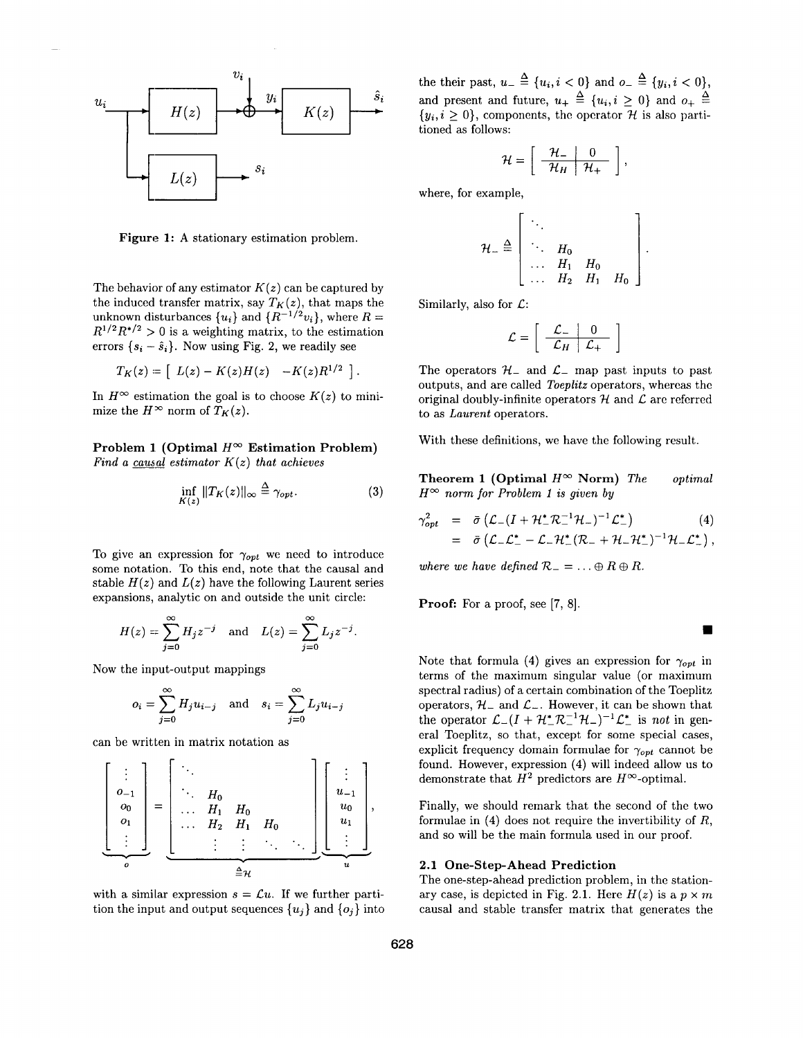

**Figure 1: A** stationary estimation problem.

The behavior of any estimator  $K(z)$  can be captured by the induced transfer matrix, say  $T_K(z)$ , that maps the unknown disturbances  $\{u_i\}$  and  $\{R^{-1/2}v_i\}$ , where  $R=$  $R^{1/2}R^{*/2} > 0$  is a weighting matrix, to the estimation errors  $\{s_i - \hat{s}_i\}$ . Now using Fig. 2, we readily see

$$
T_K(z) = \left[ L(z) - K(z)H(z) - K(z)R^{1/2} \right].
$$

In  $H^{\infty}$  estimation the goal is to choose  $K(z)$  to minimize the  $H^{\infty}$  norm of  $T_K(z)$ .

# **Problem 1. (Optimal**  $H^{\infty}$  **Estimation Problem)** *Find a causal estimator K(z) that achieves*

$$
\inf_{K(z)} \|T_K(z)\|_{\infty} \stackrel{\Delta}{=} \gamma_{opt}.\tag{3}
$$

To give an expression for  $\gamma_{opt}$  we need to introduce some notation. To this end, note that the causal and stable  $H(z)$  and  $L(z)$  have the following Laurent series expansions, analytic on and outside the unit circle:

$$
H(z) = \sum_{j=0}^{\infty} H_j z^{-j}
$$
 and  $L(z) = \sum_{j=0}^{\infty} L_j z^{-j}$ .

Now the input-output mappings

$$
o_i = \sum_{j=0}^{\infty} H_j u_{i-j} \quad \text{and} \quad s_i = \sum_{j=0}^{\infty} L_j u_{i-j}
$$

can be written in matrix notation as

$$
\left[\begin{array}{c}\n\vdots \\
o_{-1} \\
o_0 \\
\vdots \\
o\n\end{array}\right]=\left[\begin{array}{c}\n\vdots \\
\vdots \\
\vdots \\
\vdots \\
\vdots \\
o\n\end{array}\right.\n\left[\begin{array}{c}\n\vdots \\
\vdots \\
\vdots \\
\vdots \\
\vdots \\
\vdots\n\end{array}\right]\n\left[\begin{array}{c}\n\vdots \\
u_{-1} \\
u_0 \\
u_1 \\
\vdots \\
\vdots\n\end{array}\right],
$$

with a similar expression  $s = \mathcal{L}u$ . If we further partition the input and output sequences  $\{u_j\}$  and  $\{o_j\}$  into the their past,  $u_{-} \triangleq \{u_i, i < 0\}$  and  $o_{-} \triangleq \{y_i, i < 0\}$ , and present and future,  $u_+ \triangleq \{u_i, i \geq 0\}$  and  $o_+ \triangleq$  $\{y_i, i \geq 0\}$ , components, the operator H is also partitioned as follows:

$$
\mathcal{H} = \left[ \begin{array}{c|c} \mathcal{H}_- & 0 \\ \hline \mathcal{H}_H & \mathcal{H}_+ \end{array} \right],
$$

where, for example,

example,  
\n
$$
\mathcal{H}_{-} \stackrel{\Delta}{=} \begin{bmatrix} \ddots & & & \\ \ddots & H_{0} & & \\ \vdots & \ddots & H_{1} & H_{0} & \\ \vdots & \ddots & H_{2} & H_{1} & H_{0} \end{bmatrix}.
$$
\n\nAsof  $C$ :

\n
$$
\mathcal{L} = \begin{bmatrix} \mathcal{L}_{-} & 0 \\ \hline \mathcal{L}_{H} & \mathcal{L}_{+} \end{bmatrix}
$$
\nors  $\mathcal{H}_{-}$  and  $\mathcal{L}_{-}$  map past inputs to past

\nby  $C$  and  $C$  are called *T*enerators, whereas the

Similarly, also for  $\mathcal{L}$ :

$$
\mathcal{L} = \left[ \begin{array}{c|c} \mathcal{L}_{-} & 0 \\ \hline \mathcal{L}_{H} & \mathcal{L}_{+} \end{array} \right]
$$

The operators  $\mathcal{H}_-$  and  $\mathcal{L}_-$  map past inputs to past. outputs, and are called *Toeplitz* operators, whereas the original doubly-infinite operators  $H$  and  $L$  are referred to as *Laurent* operators.

With these definitions, we have the following result,.

**Theorem 1 (Optimal**  $H^{\infty}$  **Norm)** *The optimal*  $H^{\infty}$  *norm for Problem 1 is given by* 

$$
\gamma_{opt}^2 = \bar{\sigma} \left( \mathcal{L}_-(I + \mathcal{H}_-^* \mathcal{R}_-^{-1} \mathcal{H}_-)^{-1} \mathcal{L}_-^* \right) \tag{4}
$$
  
=  $\bar{\sigma} \left( \mathcal{L}_- \mathcal{L}_-^* - \mathcal{L}_- \mathcal{H}_-^* (\mathcal{R}_- + \mathcal{H}_- \mathcal{H}_-^*)^{-1} \mathcal{H}_- \mathcal{L}_-^* \right),$ 

*where we have defined*  $\mathcal{R}_{-} = \ldots \oplus R \oplus R$ .

**Proof:** For a proof, see [7, 8].

Note that formula (4) gives an expression for  $\gamma_{opt}$  in terms of the maximum singular value (or maximum spectral radius) of a certain combination of the Toeplitz operators,  $\mathcal{H}_-$  and  $\mathcal{L}_-$ . However, it can be shown that the operator  $\mathcal{L}((I + \mathcal{H}_{-}^{*}\mathcal{R}_{-}^{-1}\mathcal{H}_{-})^{-1}\mathcal{L}_{-}^{*}$  is *not* in general Toeplitz, so that, except for some special cases, explicit frequency domain formulae for  $\gamma_{opt}$  cannot be found. However, expression **(4)** will indeed allow us to demonstrate that  $H^2$  predictors are  $H^{\infty}$ -optimal.

Finally, we should remark that the second of the two formulae in **(4)** does not require the invertibility of *R,*  and so will be the main formula used in our proof.

## **2.1 One-Step-Ahead Prediction**

The one-step-ahead prediction problem, in the stationary case, is depicted in Fig. 2.1. Here  $H(z)$  is a  $p \times m$ causal and stable transfer matrix that generates the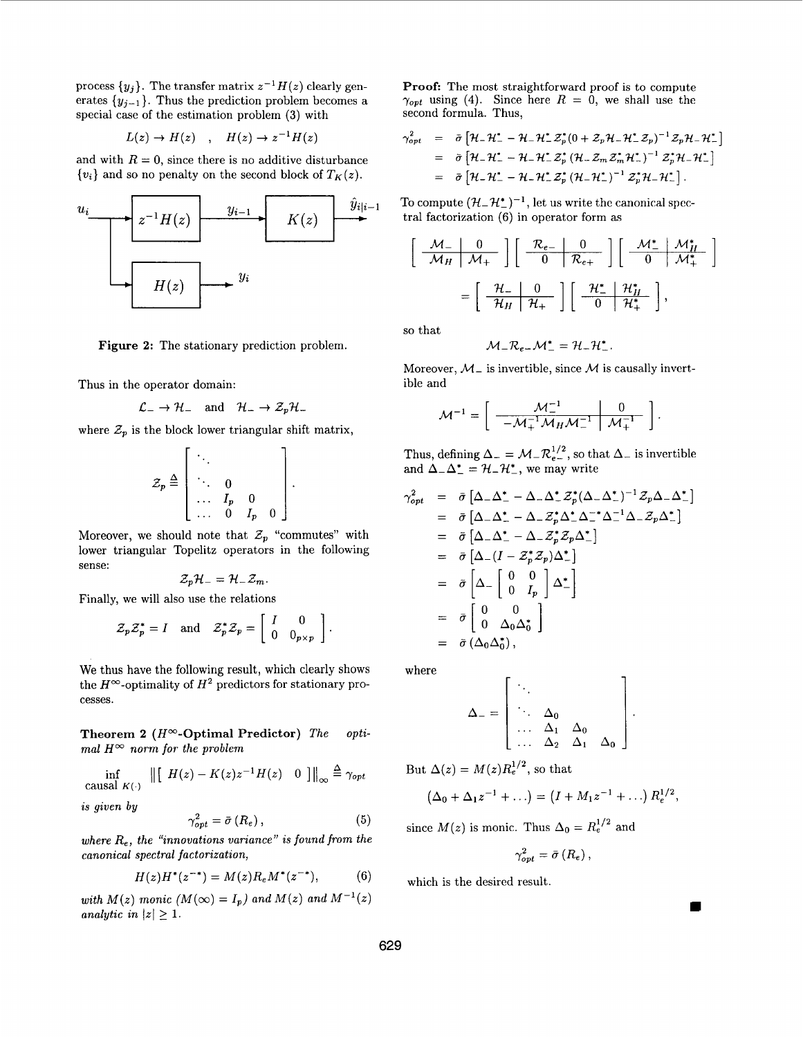process  $\{y_j\}$ . The transfer matrix  $z^{-1}H(z)$  clearly generates  $\{y_{j-1}\}$ . Thus the prediction problem becomes a special case of the estimation problem **(3)** with

$$
L(z) \to H(z) \quad , \quad H(z) \to z^{-1}H(z)
$$

and with  $R = 0$ , since there is no additive disturbance  $\{v_i\}$  and so no penalty on the second block of  $T_K(z)$ .



**Figure 2:** The stationary prediction problem.

Thus in the operator domain:

$$
\mathcal{L}_{-} \to \mathcal{H}_{-} \quad \text{and} \quad \mathcal{H}_{-} \to \mathcal{Z}_{p} \mathcal{H}_{-}
$$

where  $\mathcal{Z}_p$  is the block lower triangular shift matrix,

$$
\mathcal{Z}_p \stackrel{\Delta}{=} \left[ \begin{array}{ccc} \ddots & & \\ \ddots & 0 & & \\ \cdots & I_p & 0 & \\ \cdots & 0 & I_p & 0 \end{array} \right].
$$

Moreover, we should note that  $\mathcal{Z}_p$  "commutes" with lower triangular Topelitz operators in the following sense:

$$
\mathcal{Z}_p\mathcal{H}_-=\mathcal{H}_-\mathcal{Z}_m.
$$

Finally, we will also use the relations

$$
\mathcal{Z}_p \mathcal{Z}_p^* = I
$$
 and  $\mathcal{Z}_p^* \mathcal{Z}_p = \begin{bmatrix} I & 0 \\ 0 & 0_{p \times p} \end{bmatrix}$ .

We thus have the following result, which clearly shows the  $H^\infty$ -optimality of  $H^2$  predictors for stationary processes.

**Theorem 2 (Hw-Optimal Predictor)** *The mal*  $H^{\infty}$  *norm for the problem opti-*

 $\inf_{\text{causal } K(\cdot)} \left\| \left[ H(z) - K(z)z^{-1}H(z) \quad 0 \right] \right\|_{\infty} \stackrel{\Delta}{=} \gamma_{opt}$ 

*is given by* 

$$
\gamma_{opt}^2 = \bar{\sigma}(R_e), \qquad (5)
$$

*where Re, the "innovations variance" is found from the canonical spectral factorization,* 

$$
H(z)H^*(z^{-*}) = M(z)R_e M^*(z^{-*}), \tag{6}
$$

with  $M(z)$  monic  $(M(\infty) = I_p)$  and  $M(z)$  and  $M^{-1}(z)$ *analytic in*  $|z| \geq 1$ .

**Proof:** The most straightforward proof is to compute  $\gamma_{\text{opt}}$  using (4). Since here  $R = 0$ , we shall use the second formula. Thus,

$$
\gamma_{opt}^2 = \bar{\sigma} \left[ \mathcal{H}_- \mathcal{H}_-^* - \mathcal{H}_- \mathcal{H}_-^* \mathcal{Z}_p^* (0 + \mathcal{Z}_p \mathcal{H}_- \mathcal{H}_-^* \mathcal{Z}_p)^{-1} \mathcal{Z}_p \mathcal{H}_- \mathcal{H}_-^* \right]
$$
  
\n
$$
= \bar{\sigma} \left[ \mathcal{H}_- \mathcal{H}_-^* - \mathcal{H}_- \mathcal{H}_-^* \mathcal{Z}_p^* \left( \mathcal{H}_- \mathcal{Z}_m \mathcal{Z}_m^* \mathcal{H}_-^* \right)^{-1} \mathcal{Z}_p^* \mathcal{H}_- \mathcal{H}_-^* \right]
$$
  
\n
$$
= \bar{\sigma} \left[ \mathcal{H}_- \mathcal{H}_-^* - \mathcal{H}_- \mathcal{H}_-^* \mathcal{Z}_p^* \left( \mathcal{H}_- \mathcal{H}_-^* \right)^{-1} \mathcal{Z}_p^* \mathcal{H}_- \mathcal{H}_-^* \right].
$$

To compute  $(\mathcal{H} - \mathcal{H}_{-}^{*})^{-1}$ , let us write the canonical spectral factorization (6) in operator form as

$$
\frac{1}{2}p_{t} = \bar{\sigma} \left[ \mathcal{H} - \mathcal{H}_{-}^{*} - \mathcal{H}_{-} \mathcal{H}_{-}^{*} \mathcal{Z}_{p}^{*} (0 + \mathcal{Z}_{p} \mathcal{H}_{-} \mathcal{H}_{-}^{*} \mathcal{Z}_{p})^{-1} \mathcal{Z}_{p} \mathcal{H}_{-} \mathcal{H}_{-}^{*} \right]
$$
\n
$$
= \bar{\sigma} \left[ \mathcal{H} - \mathcal{H}_{-}^{*} - \mathcal{H}_{-} \mathcal{H}_{-}^{*} \mathcal{Z}_{p}^{*} (\mathcal{H}_{-} \mathcal{Z}_{m} \mathcal{Z}_{m}^{*} \mathcal{H}_{-}^{*})^{-1} \mathcal{Z}_{p}^{*} \mathcal{H}_{-} \mathcal{H}_{-}^{*} \right]
$$
\n
$$
= \bar{\sigma} \left[ \mathcal{H} - \mathcal{H}_{-}^{*} - \mathcal{H}_{-} \mathcal{H}_{-}^{*} \mathcal{Z}_{p}^{*} (\mathcal{H}_{-} \mathcal{H}_{-}^{*})^{-1} \mathcal{Z}_{p}^{*} \mathcal{H}_{-} \mathcal{H}_{-}^{*} \right]
$$
\n
$$
\text{is a complete (} \mathcal{H}_{-} \mathcal{H}_{-}^{*} \mathcal{H}_{-}^{*} \mathcal{H}_{-}^{*} \mathcal{H}_{-}^{*} \mathcal{H}_{-}^{*} \mathcal{H}_{-}^{*} \mathcal{H}_{-}^{*} \mathcal{H}_{-}^{*} \mathcal{H}_{-}^{*} \mathcal{H}_{+}^{*} \mathcal{H}_{+}^{*} \mathcal{H}_{+}^{*} \mathcal{H}_{+}^{*} \mathcal{H}_{+}^{*} \mathcal{H}_{+}^{*} \mathcal{H}_{+}^{*} \mathcal{H}_{+}^{*} \mathcal{H}_{+}^{*} \mathcal{H}_{+}^{*} \mathcal{H}_{+}^{*} \mathcal{H}_{+}^{*} \mathcal{H}_{+}^{*} \mathcal{H}_{+}^{*} \mathcal{H}_{+}^{*} \mathcal{H}_{+}^{*} \mathcal{H}_{+}^{*} \mathcal{H}_{+}^{*} \mathcal{H}_{+}^{*} \mathcal{H}_{+}^{*} \mathcal{H}_{+}^{*} \mathcal
$$

so that

$$
\mathcal{M}_-\mathcal{R}_{e-}\mathcal{M}_-^*=\mathcal{H}_-\mathcal{H}_-^*.
$$

Moreover,  $M_{-}$  is invertible, since M is causally invertible and

$$
\mathcal{M}^{-1} = \left[ \begin{array}{c|c} \mathcal{M}_-^{-1} & 0 \\ \hline -\mathcal{M}_+^{-1} \mathcal{M}_H \mathcal{M}_-^{-1} & \mathcal{M}_+^{-1} \end{array} \right]
$$

Thus, defining  $\Delta_- = \mathcal{M}_- \mathcal{R}_{e-}^{1/2}$ , so that  $\Delta_-$  is invertible and  $\Delta_{-}\Delta_{-}^{*}=\mathcal{H}_{-}\mathcal{H}_{-}^{*}$ , we may write

$$
\gamma_{opt}^2 = \bar{\sigma} \left[ \Delta_- \Delta_-^* - \Delta_- \Delta_-^* \mathcal{Z}_p^* (\Delta_- \Delta_-^*)^{-1} \mathcal{Z}_p \Delta_- \Delta_-^* \right]
$$
  
\n
$$
= \bar{\sigma} \left[ \Delta_- \Delta_-^* - \Delta_- \mathcal{Z}_p^* \Delta_-^* \Delta_-^{-*} \Delta_-^{-1} \Delta_- \mathcal{Z}_p \Delta_-^* \right]
$$
  
\n
$$
= \bar{\sigma} \left[ \Delta_- \Delta_-^* - \Delta_- \mathcal{Z}_p^* \mathcal{Z}_p \Delta_-^* \right]
$$
  
\n
$$
= \bar{\sigma} \left[ \Delta_- \left( I - \mathcal{Z}_p^* \mathcal{Z}_p \right) \Delta_-^* \right]
$$
  
\n
$$
= \bar{\sigma} \left[ \Delta_- \left[ \begin{array}{cc} 0 & 0 \\ 0 & I_p \end{array} \right] \Delta_-^* \right]
$$
  
\n
$$
= \bar{\sigma} \left[ \begin{array}{cc} 0 & 0 \\ 0 & \Delta_0 \Delta_0^* \end{array} \right]
$$
  
\n
$$
= \bar{\sigma} \left( \Delta_0 \Delta_0^* \right)
$$

where

$$
\Delta_{-} = \left[\begin{array}{cccc} \ddots & & & \\ \ddots & \Delta_{0} & & \\ \dots & \Delta_{1} & \Delta_{0} & \\ \dots & \Delta_{2} & \Delta_{1} & \Delta_{0} \end{array}\right].
$$

But  $\Delta(z) = M(z)R_e^{1/2}$ , so that

$$
(\Delta_0 + \Delta_1 z^{-1} + ...) = (I + M_1 z^{-1} + ...) R_e^{1/2},
$$

since  $M(z)$  is monic. Thus  $\Delta_0 = R_e^{1/2}$  and

$$
\gamma_{opt}^2 = \bar{\sigma}(R_e) ,
$$

which is the desired result,.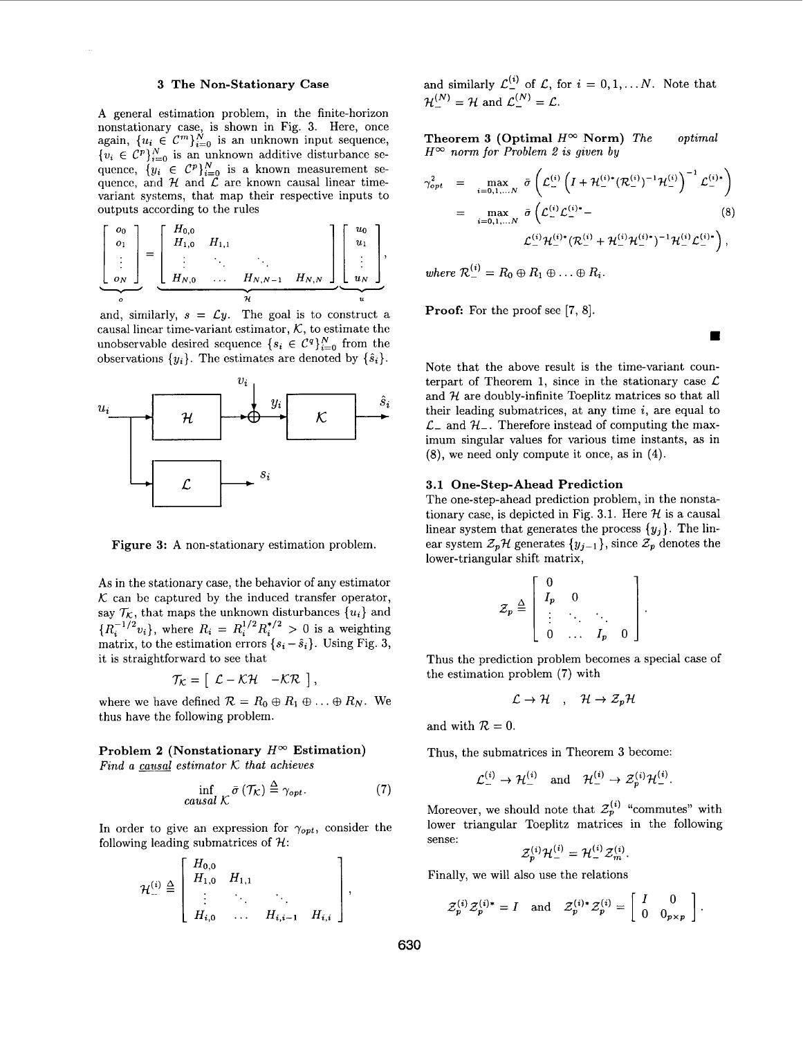#### **3 The Non-Stationary Case**

**A** general estimation problem, in the finite-horizon nonstationary case, is shown in Fig. **3.** Here, once again,  ${u_i \in \mathcal{C}^m}_{i=0}^N$  is an unknown input sequence,  ${v_i \in C^p}_{i=0}^{N}$  is an unknown additive disturbance sequence,  $\{y_i \in C^p\}_{i=0}^N$  is a known measurement sequence, and  $H$  and  $\overrightarrow{L}$  are known causal linear timevariant systems, that map their respective inputs to outputs according to the rules

$$
\left[\begin{array}{c} o_0 \\ o_1 \\ \vdots \\ o_N \end{array}\right] = \left[\begin{array}{cccc} H_{0,0} & & & \\ H_{1,0} & H_{1,1} & & \\ \vdots & \ddots & \ddots & \\ H_{N,0} & \dots & H_{N,N-1} & H_{N,N} \end{array}\right] \left[\begin{array}{c} u_0 \\ u_1 \\ \vdots \\ u_N \end{array}\right],
$$

and, similarly,  $s = \mathcal{L}y$ . The goal is to construct a causal linear time-variant estimator,  $K$ , to estimate the unobservable desired sequence  $\{s_i \in \mathcal{C}^q\}_{i=0}^N$  from the observations  $\{y_i\}$ . The estimates are denoted by  $\{\hat{s}_i\}$ .



**Figure 3: A** non-stationary estimation problem.

**As** in the stationary case, the behavior of any estimator  $K$  can be captured by the induced transfer operator, say  $\mathcal{T}_{\mathcal{K}}$ , that maps the unknown disturbances  $\{u_i\}$  and  ${R_i^{-1/2}v_i}$ , where  $R_i = R_i^{1/2}R_i^{*/2} > 0$  is a weighting matrix, to the estimation errors  $\{s_i - \hat{s}_i\}$ . Using Fig. 3, it is straightforward to see that

$$
\mathcal{T}_{\mathcal{K}} = \left[ \begin{array}{cc} \mathcal{L} - \mathcal{K} \mathcal{H} & -\mathcal{K} \mathcal{R} \end{array} \right],
$$

where we have defined  $\mathcal{R} = R_0 \oplus R_1 \oplus \ldots \oplus R_N$ . We thus have the following problem.

# **Problem 2 (Nonstationary**  $H^{\infty}$  **Estimation)**

*Find a causal estimator K that achieves* 

$$
\inf_{causal \ K} \bar{\sigma} \left( \mathcal{T}_{\mathcal{K}} \right) \stackrel{\Delta}{=} \gamma_{opt}. \tag{7}
$$

In order to give an expression for  $\gamma_{opt}$ , consider the following leading submatrices of  $H$ :

$$
\mathcal{H}_{-}^{(i)} \stackrel{\Delta}{=} \left[ \begin{array}{cccc} H_{0,0} & & & \\ H_{1,0} & H_{1,1} & & \\ \vdots & \ddots & \ddots & \\ H_{i,0} & \dots & H_{i,i-1} & H_{i,i} \end{array} \right],
$$

and similarly  $\mathcal{L}_{-}^{(i)}$  of  $\mathcal{L}$ , for  $i = 0, 1, \ldots N$ . Note that  $\mathcal{H}^{(N)} = \mathcal{H}$  and  $\mathcal{L}^{(N)} = \mathcal{L}$ .

**Theorem 3 (Optimal**  $H^{\infty}$  **Norm)** *The optimal*  $H^{\infty}$  *norm for Problem 2 is given by* 

$$
\gamma_{opt}^2 = \max_{i=0,1,...N} \bar{\sigma} \left( \mathcal{L}_{-}^{(i)} \left( I + \mathcal{H}_{-}^{(i)*} (\mathcal{R}_{-}^{(i)})^{-1} \mathcal{H}_{-}^{(i)} \right)^{-1} \mathcal{L}_{-}^{(i)*} \right)
$$
  

$$
= \max_{i=0,1,...N} \bar{\sigma} \left( \mathcal{L}_{-}^{(i)} \mathcal{L}_{-}^{(i)*} - \mathcal{L}_{-}^{(i)} \mathcal{H}_{-}^{(i)*} (\mathcal{R}_{-}^{(i)} + \mathcal{H}_{-}^{(i)} \mathcal{H}_{-}^{(i)*})^{-1} \mathcal{H}_{-}^{(i)} \mathcal{L}_{-}^{(i)*} \right),
$$
(8)

where  $\mathcal{R}^{(i)} = R_0 \oplus R_1 \oplus \ldots \oplus R_i$ .

**Proof:** For the proof see [7, 8].

Note that the above result is the time-variant counterpart of Theorem 1, since in the stationary case  $\mathcal{L}$ and  $H$  are doubly-infinite Toeplitz matrices so that all their leading submatrices, at any time *i,* are equal to  $\mathcal{L}_-$  and  $\mathcal{H}_-$ . Therefore instead of computing the maximum singular values for various time instants, as in (8), we need only compute it once, as in **(4).** 

## **3.1 One-Step- Ahead Prediction**

The one-step-ahead prediction problem, in the nonstationary case, is depicted in Fig. 3.1. Here  $H$  is a causal linear system that generates the process  $\{y_j\}$ . The linear system  $\mathcal{Z}_p$  *H* generates  $\{y_{j-1}\}\$ , since  $\mathcal{Z}_p$  denotes the lower-triangular shift matrix,

$$
\mathcal{Z}_p \stackrel{\Delta}{=} \left[ \begin{array}{cccc} 0 & & & \\ I_p & 0 & & \\ \vdots & \ddots & \ddots & \\ 0 & \dots & I_p & 0 \end{array} \right].
$$

Thus the prediction problem becomes a special case of the estimation problem **(7)** with

$$
\mathcal{L} \to \mathcal{H} \quad , \quad \mathcal{H} \to \mathcal{Z}_p \mathcal{H}
$$

and with  $\mathcal{R} = 0$ .

Thus, the submatrices in Theorem **3** become:

 $\mathcal{L}_{-}^{(i)} \rightarrow \mathcal{H}_{-}^{(i)}$  and  $\mathcal{H}_{-}^{(i)} \rightarrow \mathcal{Z}_{n}^{(i)} \mathcal{H}_{-}^{(i)}$ .

Moreover, we should note that  $\mathcal{Z}_p^{(i)}$  "commutes" with lower triangular Toeplitz matrices in the following sense:

$$
\mathcal{Z}_p^{(i)}\mathcal{H}_-^{(i)}=\mathcal{H}_-^{(i)}\mathcal{Z}_m^{(i)}
$$

Finally, we will also use the relations

$$
\mathcal{Z}_p^{(i)}\mathcal{Z}_p^{(i)*} = I \quad \text{and} \quad \mathcal{Z}_p^{(i)*}\mathcal{Z}_p^{(i)} = \left[ \begin{array}{cc} I & 0 \\ 0 & 0_{p \times p} \end{array} \right].
$$